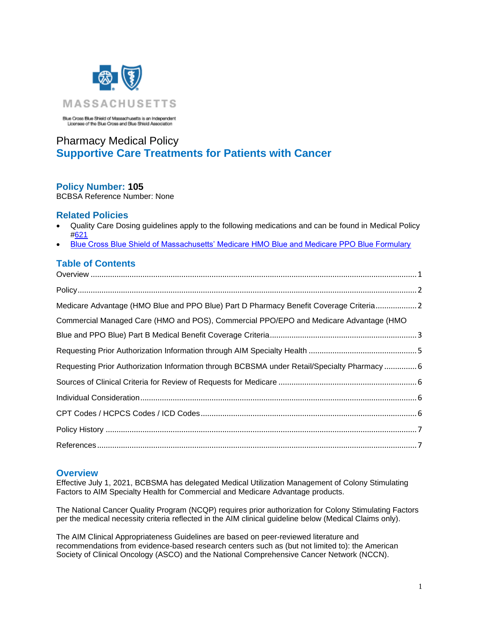

Blue Cross Blue Shield of Massachusetts is an Independent<br>Licensee of the Blue Cross and Blue Shield Association

# Pharmacy Medical Policy **Supportive Care Treatments for Patients with Cancer**

# **Policy Number: 105**

BCBSA Reference Number: None

# **Related Policies**

- Quality Care Dosing guidelines apply to the following medications and can be found in Medical Policy [#621](http://www.bluecrossma.com/common/en_US/medical_policies/621%20Quality%20Care%20Dosing%20Guidelines%20prn.pdf)
- [Blue Cross Blue Shield of Massachusetts' Medicare HMO Blue and Medicare PPO Blue Formulary](https://medicare.bluecrossma.com/member-resources/pharmacy-benefits/medicare-advantage-pharmacy-benefits/formulary-overview)

# **Table of Contents**

| Medicare Advantage (HMO Blue and PPO Blue) Part D Pharmacy Benefit Coverage Criteria2                                                                                                                                                                                                                                                                                                                                |  |
|----------------------------------------------------------------------------------------------------------------------------------------------------------------------------------------------------------------------------------------------------------------------------------------------------------------------------------------------------------------------------------------------------------------------|--|
| Commercial Managed Care (HMO and POS), Commercial PPO/EPO and Medicare Advantage (HMO                                                                                                                                                                                                                                                                                                                                |  |
|                                                                                                                                                                                                                                                                                                                                                                                                                      |  |
|                                                                                                                                                                                                                                                                                                                                                                                                                      |  |
| Requesting Prior Authorization Information through BCBSMA under Retail/Specialty Pharmacy  6                                                                                                                                                                                                                                                                                                                         |  |
|                                                                                                                                                                                                                                                                                                                                                                                                                      |  |
|                                                                                                                                                                                                                                                                                                                                                                                                                      |  |
|                                                                                                                                                                                                                                                                                                                                                                                                                      |  |
|                                                                                                                                                                                                                                                                                                                                                                                                                      |  |
| $References \hspace{20pt} . \hspace{20pt} . \hspace{20pt} . \hspace{20pt} . \hspace{20pt} . \hspace{20pt} . \hspace{20pt} . \hspace{20pt} . \hspace{20pt} . \hspace{20pt} . \hspace{20pt} . \hspace{20pt} . \hspace{20pt} . \hspace{20pt} . \hspace{20pt} . \hspace{20pt} . \hspace{20pt} . \hspace{20pt} . \hspace{20pt} . \hspace{20pt} . \hspace{20pt} . \hspace{20pt} . \hspace{20pt} . \hspace{20pt} . \hspace$ |  |

### <span id="page-0-0"></span>**Overview**

Effective July 1, 2021, BCBSMA has delegated Medical Utilization Management of Colony Stimulating Factors to AIM Specialty Health for Commercial and Medicare Advantage products.

The National Cancer Quality Program (NCQP) requires prior authorization for Colony Stimulating Factors per the medical necessity criteria reflected in the AIM clinical guideline below (Medical Claims only).

The AIM Clinical Appropriateness Guidelines are based on peer-reviewed literature and recommendations from evidence-based research centers such as (but not limited to): the American Society of Clinical Oncology (ASCO) and the National Comprehensive Cancer Network (NCCN).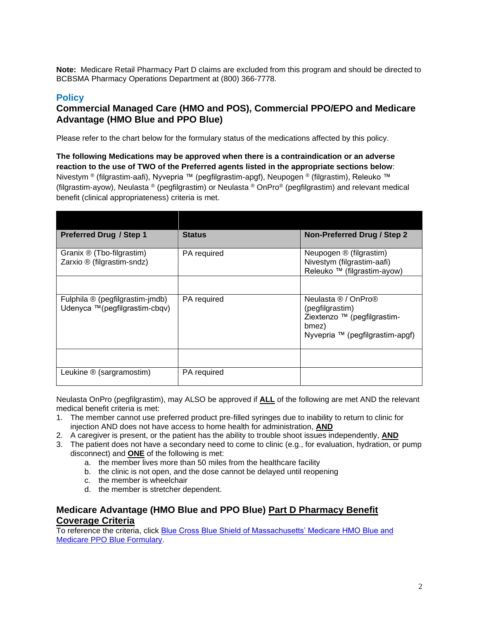**Note:** Medicare Retail Pharmacy Part D claims are excluded from this program and should be directed to BCBSMA Pharmacy Operations Department at (800) 366-7778.

# <span id="page-1-0"></span>**Policy**

# **Commercial Managed Care (HMO and POS), Commercial PPO/EPO and Medicare Advantage (HMO Blue and PPO Blue)**

Please refer to the chart below for the formulary status of the medications affected by this policy.

<span id="page-1-1"></span>**The following Medications may be approved when there is a contraindication or an adverse reaction to the use of TWO of the Preferred agents listed in the appropriate sections below**: Nivestym ® (filgrastim-aafi), Nyvepria ™ (pegfilgrastim-apgf), Neupogen ® (filgrastim), Releuko ™ (filgrastim-ayow), Neulasta ® (pegfilgrastim) or Neulasta ® OnPro® (pegfilgrastim) and relevant medical benefit (clinical appropriateness) criteria is met.

| <b>Preferred Drug / Step 1</b>                                   | <b>Status</b> | Non-Preferred Drug / Step 2                                                                                       |
|------------------------------------------------------------------|---------------|-------------------------------------------------------------------------------------------------------------------|
| Granix ® (Tbo-filgrastim)<br>Zarxio ® (filgrastim-sndz)          | PA required   | Neupogen ® (filgrastim)<br>Nivestym (filgrastim-aafi)<br>Releuko ™ (filgrastim-ayow)                              |
|                                                                  |               |                                                                                                                   |
| Fulphila ® (pegfilgrastim-jmdb)<br>Udenyca ™(pegfilgrastim-cbqv) | PA required   | Neulasta ® / OnPro®<br>(pegfilgrastim)<br>Ziextenzo ™ (pegfilgrastim-<br>bmez)<br>Nyvepria ™ (pegfilgrastim-apgf) |
|                                                                  |               |                                                                                                                   |
| Leukine ® (sargramostim)                                         | PA required   |                                                                                                                   |

Neulasta OnPro (pegfilgrastim), may ALSO be approved if **ALL** of the following are met AND the relevant medical benefit criteria is met:

- 1. The member cannot use preferred product pre-filled syringes due to inability to return to clinic for injection AND does not have access to home health for administration, **AND**
- 2. A caregiver is present, or the patient has the ability to trouble shoot issues independently, **AND**
- 3. The patient does not have a secondary need to come to clinic (e.g., for evaluation, hydration, or pump disconnect) and **ONE** of the following is met:
	- a. the member lives more than 50 miles from the healthcare facility
	- b. the clinic is not open, and the dose cannot be delayed until reopening
	- c. the member is wheelchair
	- d. the member is stretcher dependent.

# **Medicare Advantage (HMO Blue and PPO Blue) Part D Pharmacy Benefit Coverage Criteria**

To reference the criteria, click [Blue Cross Blue Shield of Massachusetts' Medicare HMO Blue and](https://medicare.bluecrossma.com/member-resources/pharmacy-benefits/medicare-advantage-pharmacy-benefits/formulary-overview)  [Medicare PPO Blue Formulary.](https://medicare.bluecrossma.com/member-resources/pharmacy-benefits/medicare-advantage-pharmacy-benefits/formulary-overview)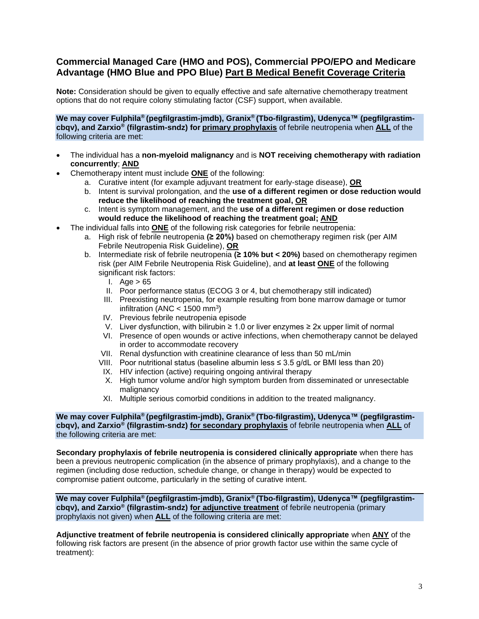# <span id="page-2-0"></span>**Commercial Managed Care (HMO and POS), Commercial PPO/EPO and Medicare Advantage (HMO Blue and PPO Blue) Part B Medical Benefit Coverage Criteria**

**Note:** Consideration should be given to equally effective and safe alternative chemotherapy treatment options that do not require colony stimulating factor (CSF) support, when available.

**We may cover Fulphila® (pegfilgrastim-jmdb), Granix® (Tbo-filgrastim), Udenyca™ (pegfilgrastimcbqv), and Zarxio® (filgrastim-sndz) for primary prophylaxis** of febrile neutropenia when **ALL** of the following criteria are met:

- The individual has a **non-myeloid malignancy** and is **NOT receiving chemotherapy with radiation concurrently**; **AND**
- Chemotherapy intent must include **ONE** of the following:
	- a. Curative intent (for example adjuvant treatment for early-stage disease), **OR**
	- b. Intent is survival prolongation, and the **use of a different regimen or dose reduction would reduce the likelihood of reaching the treatment goal, OR**
	- c. Intent is symptom management, and the **use of a different regimen or dose reduction would reduce the likelihood of reaching the treatment goal; AND**
	- The individual falls into **ONE** of the following risk categories for febrile neutropenia:
		- a. High risk of febrile neutropenia **(≥ 20%)** based on chemotherapy regimen risk (per AIM Febrile Neutropenia Risk Guideline), **OR**
		- b. Intermediate risk of febrile neutropenia **(≥ 10% but < 20%)** based on chemotherapy regimen risk (per AIM Febrile Neutropenia Risk Guideline), and **at least ONE** of the following significant risk factors:
			- I. Age  $> 65$
			- II. Poor performance status (ECOG 3 or 4, but chemotherapy still indicated)
			- III. Preexisting neutropenia, for example resulting from bone marrow damage or tumor infiltration (ANC  $<$  1500 mm<sup>3</sup>)
			- IV. Previous febrile neutropenia episode
			- V. Liver dysfunction, with bilirubin ≥ 1.0 or liver enzymes ≥ 2x upper limit of normal
			- VI. Presence of open wounds or active infections, when chemotherapy cannot be delayed in order to accommodate recovery
			- VII. Renal dysfunction with creatinine clearance of less than 50 mL/min
			- VIII. Poor nutritional status (baseline albumin less ≤ 3.5 g/dL or BMI less than 20)
			- IX. HIV infection (active) requiring ongoing antiviral therapy
			- X. High tumor volume and/or high symptom burden from disseminated or unresectable malignancy
			- XI. Multiple serious comorbid conditions in addition to the treated malignancy.

**We may cover Fulphila® (pegfilgrastim-jmdb), Granix® (Tbo-filgrastim), Udenyca™ (pegfilgrastimcbqv), and Zarxio® (filgrastim-sndz) for secondary prophylaxis** of febrile neutropenia when **ALL** of the following criteria are met:

**Secondary prophylaxis of febrile neutropenia is considered clinically appropriate** when there has been a previous neutropenic complication (in the absence of primary prophylaxis), and a change to the regimen (including dose reduction, schedule change, or change in therapy) would be expected to compromise patient outcome, particularly in the setting of curative intent.

**We may cover Fulphila® (pegfilgrastim-jmdb), Granix® (Tbo-filgrastim), Udenyca™ (pegfilgrastimcbqv), and Zarxio® (filgrastim-sndz) for adjunctive treatment** of febrile neutropenia (primary prophylaxis not given) when **ALL** of the following criteria are met:

**Adjunctive treatment of febrile neutropenia is considered clinically appropriate** when **ANY** of the following risk factors are present (in the absence of prior growth factor use within the same cycle of treatment):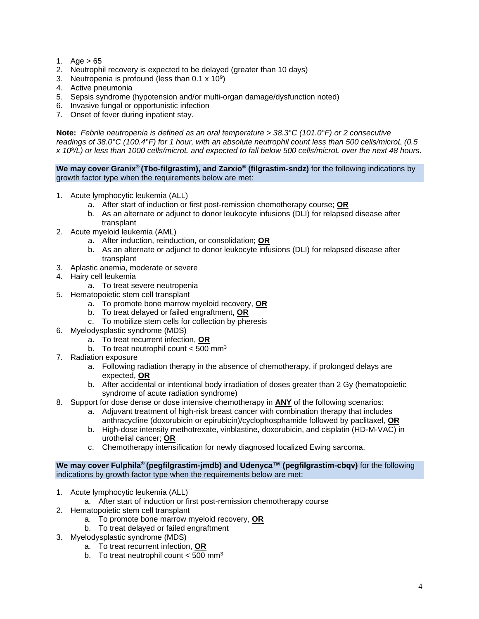- 1. Age  $> 65$
- 2. Neutrophil recovery is expected to be delayed (greater than 10 days)
- 3. Neutropenia is profound (less than  $0.1 \times 10^9$ )
- 4. Active pneumonia
- 5. Sepsis syndrome (hypotension and/or multi-organ damage/dysfunction noted)
- 6. Invasive fungal or opportunistic infection
- 7. Onset of fever during inpatient stay.

**Note:** *Febrile neutropenia is defined as an oral temperature > 38.3°C (101.0°F) or 2 consecutive readings of 38.0°C (100.4°F) for 1 hour, with an absolute neutrophil count less than 500 cells/microL (0.5 x 10<sup>9</sup> /L) or less than 1000 cells/microL and expected to fall below 500 cells/microL over the next 48 hours.*

**We may cover Granix® (Tbo-filgrastim), and Zarxio® (filgrastim-sndz)** for the following indications by growth factor type when the requirements below are met:

- 1. Acute lymphocytic leukemia (ALL)
	- a. After start of induction or first post-remission chemotherapy course; **OR**
	- b. As an alternate or adjunct to donor leukocyte infusions (DLI) for relapsed disease after transplant
- 2. Acute myeloid leukemia (AML)
	- a. After induction, reinduction, or consolidation; **OR**
	- b. As an alternate or adjunct to donor leukocyte infusions (DLI) for relapsed disease after transplant
- 3. Aplastic anemia, moderate or severe
- 4. Hairy cell leukemia
	- a. To treat severe neutropenia
- 5. Hematopoietic stem cell transplant
	- a. To promote bone marrow myeloid recovery, **OR**
	- b. To treat delayed or failed engraftment, **OR**
	- c. To mobilize stem cells for collection by pheresis
- 6. Myelodysplastic syndrome (MDS)
	- a. To treat recurrent infection, **OR**
	- b. To treat neutrophil count  $<$  500 mm<sup>3</sup>
- 7. Radiation exposure
	- a. Following radiation therapy in the absence of chemotherapy, if prolonged delays are expected, **OR**
	- b. After accidental or intentional body irradiation of doses greater than 2 Gy (hematopoietic syndrome of acute radiation syndrome)
- 8. Support for dose dense or dose intensive chemotherapy in **ANY** of the following scenarios:
	- a. Adjuvant treatment of high-risk breast cancer with combination therapy that includes anthracycline (doxorubicin or epirubicin)/cyclophosphamide followed by paclitaxel, **OR**
	- b. High-dose intensity methotrexate, vinblastine, doxorubicin, and cisplatin (HD-M-VAC) in urothelial cancer; **OR**
	- c. Chemotherapy intensification for newly diagnosed localized Ewing sarcoma.

#### **We may cover Fulphila® (pegfilgrastim-jmdb) and Udenyca™ (pegfilgrastim-cbqv)** for the following indications by growth factor type when the requirements below are met:

- 1. Acute lymphocytic leukemia (ALL)
	- a. After start of induction or first post-remission chemotherapy course
- 2. Hematopoietic stem cell transplant
	- a. To promote bone marrow myeloid recovery, **OR**
	- b. To treat delayed or failed engraftment
- 3. Myelodysplastic syndrome (MDS)
	- a. To treat recurrent infection, **OR**
	- b. To treat neutrophil count  $<$  500 mm<sup>3</sup>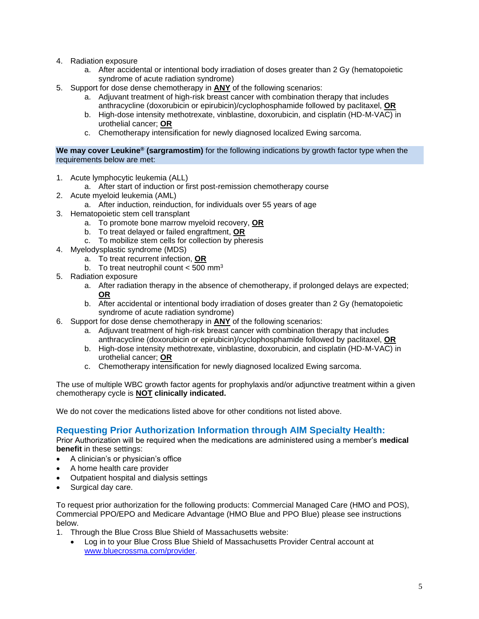- 4. Radiation exposure
	- a. After accidental or intentional body irradiation of doses greater than 2 Gy (hematopoietic syndrome of acute radiation syndrome)
- 5. Support for dose dense chemotherapy in **ANY** of the following scenarios:
	- a. Adjuvant treatment of high-risk breast cancer with combination therapy that includes anthracycline (doxorubicin or epirubicin)/cyclophosphamide followed by paclitaxel, **OR**
	- b. High-dose intensity methotrexate, vinblastine, doxorubicin, and cisplatin (HD-M-VAC) in urothelial cancer; **OR**
	- c. Chemotherapy intensification for newly diagnosed localized Ewing sarcoma.

#### **We may cover Leukine® (sargramostim)** for the following indications by growth factor type when the requirements below are met:

- 1. Acute lymphocytic leukemia (ALL)
	- a. After start of induction or first post-remission chemotherapy course
- 2. Acute myeloid leukemia (AML)
	- a. After induction, reinduction, for individuals over 55 years of age
- 3. Hematopoietic stem cell transplant
	- a. To promote bone marrow myeloid recovery, **OR**
	- b. To treat delayed or failed engraftment, **OR**
	- c. To mobilize stem cells for collection by pheresis
- 4. Myelodysplastic syndrome (MDS)
	- a. To treat recurrent infection, **OR**
	- b. To treat neutrophil count  $<$  500 mm<sup>3</sup>
- 5. Radiation exposure
	- a. After radiation therapy in the absence of chemotherapy, if prolonged delays are expected; **OR**
	- b. After accidental or intentional body irradiation of doses greater than 2 Gy (hematopoietic syndrome of acute radiation syndrome)
- 6. Support for dose dense chemotherapy in **ANY** of the following scenarios:
	- a. Adjuvant treatment of high-risk breast cancer with combination therapy that includes anthracycline (doxorubicin or epirubicin)/cyclophosphamide followed by paclitaxel, **OR**
	- b. High-dose intensity methotrexate, vinblastine, doxorubicin, and cisplatin (HD-M-VAC) in urothelial cancer; **OR**
	- c. Chemotherapy intensification for newly diagnosed localized Ewing sarcoma.

The use of multiple WBC growth factor agents for prophylaxis and/or adjunctive treatment within a given chemotherapy cycle is **NOT clinically indicated.**

We do not cover the medications listed above for other conditions not listed above

### <span id="page-4-0"></span>**Requesting Prior Authorization Information through AIM Specialty Health:**

Prior Authorization will be required when the medications are administered using a member's **medical benefit** in these settings:

- A clinician's or physician's office
- A home health care provider
- Outpatient hospital and dialysis settings
- Surgical day care.

To request prior authorization for the following products: Commercial Managed Care (HMO and POS), Commercial PPO/EPO and Medicare Advantage (HMO Blue and PPO Blue) please see instructions below.

- 1. Through the Blue Cross Blue Shield of Massachusetts website:
	- Log in to your Blue Cross Blue Shield of Massachusetts Provider Central account at [www.bluecrossma.com/provider.](file:///C:/Users/bbaker01/AppData/Local/Microsoft/Windows/Temporary%20Internet%20Files/Content.Outlook/9HFCA5DE/www.bluecrossma.com/provider)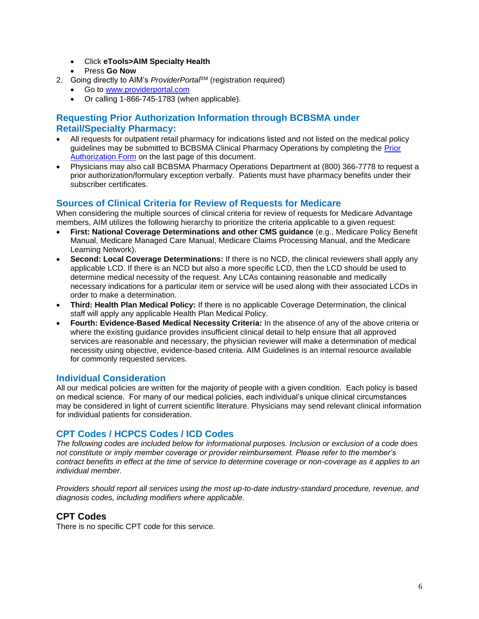- Click **eTools>AIM Specialty Health**
- Press **Go Now**
- 2. Going directly to AIM's *ProviderPorta*<sup>6M</sup> (registration required)
	- Go to [www.providerportal.com](http://www.providerportal.com/)
	- Or calling 1-866-745-1783 (when applicable).

# <span id="page-5-0"></span>**Requesting Prior Authorization Information through BCBSMA under Retail/Specialty Pharmacy:**

- All requests for outpatient retail pharmacy for indications listed and not listed on the medical policy guidelines may be submitted to BCBSMA Clinical Pharmacy Operations by completing the Prior [Authorization Form](http://www.bluecrossma.com/common/en_US/medical_policies/023%20E%20Form%20medication%20prior%20auth%20instruction%20prn.pdf) on the last page of this document.
- Physicians may also call BCBSMA Pharmacy Operations Department at (800) 366-7778 to request a prior authorization/formulary exception verbally. Patients must have pharmacy benefits under their subscriber certificates.

### <span id="page-5-1"></span>**Sources of Clinical Criteria for Review of Requests for Medicare**

When considering the multiple sources of clinical criteria for review of requests for Medicare Advantage members, AIM utilizes the following hierarchy to prioritize the criteria applicable to a given request:

- **First: National Coverage Determinations and other CMS guidance** (e.g., Medicare Policy Benefit Manual, Medicare Managed Care Manual, Medicare Claims Processing Manual, and the Medicare Learning Network).
- **Second: Local Coverage Determinations:** If there is no NCD, the clinical reviewers shall apply any applicable LCD. If there is an NCD but also a more specific LCD, then the LCD should be used to determine medical necessity of the request. Any LCAs containing reasonable and medically necessary indications for a particular item or service will be used along with their associated LCDs in order to make a determination.
- **Third: Health Plan Medical Policy:** If there is no applicable Coverage Determination, the clinical staff will apply any applicable Health Plan Medical Policy.
- **Fourth: Evidence-Based Medical Necessity Criteria:** In the absence of any of the above criteria or where the existing guidance provides insufficient clinical detail to help ensure that all approved services are reasonable and necessary, the physician reviewer will make a determination of medical necessity using objective, evidence-based criteria. AIM Guidelines is an internal resource available for commonly requested services.

### <span id="page-5-2"></span>**Individual Consideration**

All our medical policies are written for the majority of people with a given condition. Each policy is based on medical science. For many of our medical policies, each individual's unique clinical circumstances may be considered in light of current scientific literature. Physicians may send relevant clinical information for individual patients for consideration.

### <span id="page-5-3"></span>**CPT Codes / HCPCS Codes / ICD Codes**

*The following codes are included below for informational purposes. Inclusion or exclusion of a code does not constitute or imply member coverage or provider reimbursement. Please refer to the member's contract benefits in effect at the time of service to determine coverage or non-coverage as it applies to an individual member.*

*Providers should report all services using the most up-to-date industry-standard procedure, revenue, and diagnosis codes, including modifiers where applicable.*

### **CPT Codes**

There is no specific CPT code for this service.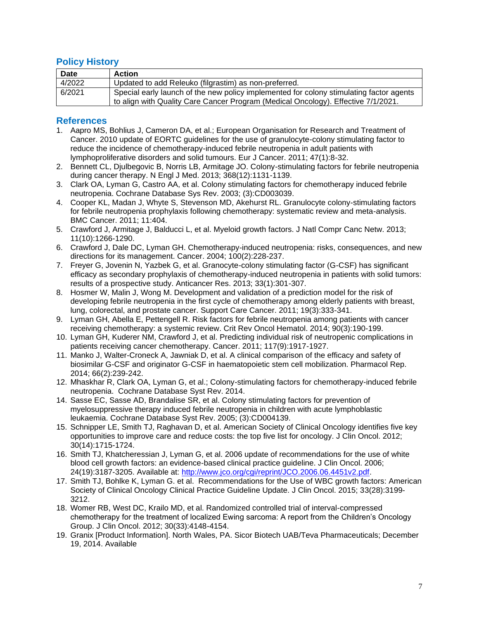# <span id="page-6-0"></span>**Policy History**

| <b>Date</b> | <b>Action</b>                                                                           |
|-------------|-----------------------------------------------------------------------------------------|
| 4/2022      | Updated to add Releuko (filgrastim) as non-preferred.                                   |
| 6/2021      | Special early launch of the new policy implemented for colony stimulating factor agents |
|             | to align with Quality Care Cancer Program (Medical Oncology). Effective 7/1/2021.       |

### <span id="page-6-1"></span>**References**

- 1. Aapro MS, Bohlius J, Cameron DA, et al.; European Organisation for Research and Treatment of Cancer. 2010 update of EORTC guidelines for the use of granulocyte-colony stimulating factor to reduce the incidence of chemotherapy-induced febrile neutropenia in adult patients with lymphoproliferative disorders and solid tumours. Eur J Cancer. 2011; 47(1):8-32.
- 2. Bennett CL, Djulbegovic B, Norris LB, Armitage JO. Colony-stimulating factors for febrile neutropenia during cancer therapy. N Engl J Med. 2013; 368(12):1131-1139.
- 3. Clark OA, Lyman G, Castro AA, et al. Colony stimulating factors for chemotherapy induced febrile neutropenia. Cochrane Database Sys Rev. 2003; (3):CD003039.
- 4. Cooper KL, Madan J, Whyte S, [Stevenson MD,](https://www.ncbi.nlm.nih.gov/pubmed/?term=Stevenson%20MD%5BAuthor%5D&cauthor=true&cauthor_uid=21943360) [Akehurst RL.](https://www.ncbi.nlm.nih.gov/pubmed/?term=Akehurst%20RL%5BAuthor%5D&cauthor=true&cauthor_uid=21943360) Granulocyte colony-stimulating factors for febrile neutropenia prophylaxis following chemotherapy: systematic review and meta-analysis. BMC Cancer. 2011; 11:404.
- 5. Crawford J, Armitage J, Balducci L, et al. Myeloid growth factors. J Natl Compr Canc Netw. 2013; 11(10):1266-1290.
- 6. Crawford J, Dale DC, Lyman GH. Chemotherapy-induced neutropenia: risks, consequences, and new directions for its management. Cancer. 2004; 100(2):228-237.
- 7. Freyer G, Jovenin N, Yazbek G, et al. Granocyte-colony stimulating factor (G-CSF) has significant efficacy as secondary prophylaxis of chemotherapy-induced neutropenia in patients with solid tumors: results of a prospective study. Anticancer Res. 2013; 33(1):301-307.
- 8. Hosmer W, Malin J, Wong M. Development and validation of a prediction model for the risk of developing febrile neutropenia in the first cycle of chemotherapy among elderly patients with breast, lung, colorectal, and prostate cancer. Support Care Cancer. 2011; 19(3):333-341.
- 9. Lyman GH, Abella E, Pettengell R. Risk factors for febrile neutropenia among patients with cancer receiving chemotherapy: a systemic review. Crit Rev Oncol Hematol. 2014; 90(3):190-199.
- 10. Lyman GH, Kuderer NM, Crawford J, et al. Predicting individual risk of neutropenic complications in patients receiving cancer chemotherapy. Cancer. 2011; 117(9):1917-1927.
- 11. Manko J, Walter-Croneck A, Jawniak D, et al. A clinical comparison of the efficacy and safety of biosimilar G-CSF and originator G-CSF in haematopoietic stem cell mobilization. Pharmacol Rep. 2014; 66(2):239-242.
- 12. Mhaskhar R, Clark OA, Lyman G, et al.; Colony-stimulating factors for chemotherapy-induced febrile neutropenia. Cochrane Database Syst Rev. 2014.
- 14. Sasse EC, Sasse AD, Brandalise SR, et al. Colony stimulating factors for prevention of myelosuppressive therapy induced febrile neutropenia in children with acute lymphoblastic leukaemia. Cochrane Database Syst Rev. 2005; (3):CD004139.
- 15. Schnipper LE, Smith TJ, Raghavan D, et al. American Society of Clinical Oncology identifies five key opportunities to improve care and reduce costs: the top five list for oncology. J Clin Oncol. 2012; 30(14):1715-1724.
- 16. Smith TJ, Khatcheressian J, Lyman G, et al. 2006 update of recommendations for the use of white blood cell growth factors: an evidence-based clinical practice guideline. J Clin Oncol. 2006; 24(19):3187-3205. Available at: [http://www.jco.org/cgi/reprint/JCO.2006.06.4451v2.pdf.](http://www.jco.org/cgi/reprint/JCO.2006.06.4451v2.pdf)
- 17. Smith TJ, Bohlke K, Lyman G. et al. Recommendations for the Use of WBC growth factors: American Society of Clinical Oncology Clinical Practice Guideline Update. J Clin Oncol. 2015; 33(28):3199- 3212.
- 18. Womer RB, West DC, Krailo MD, et al. Randomized controlled trial of interval-compressed chemotherapy for the treatment of localized Ewing sarcoma: A report from the Children's Oncology Group. J Clin Oncol. 2012; 30(33):4148-4154.
- 19. Granix [Product Information]. North Wales, PA. Sicor Biotech UAB/Teva Pharmaceuticals; December 19, 2014. Available